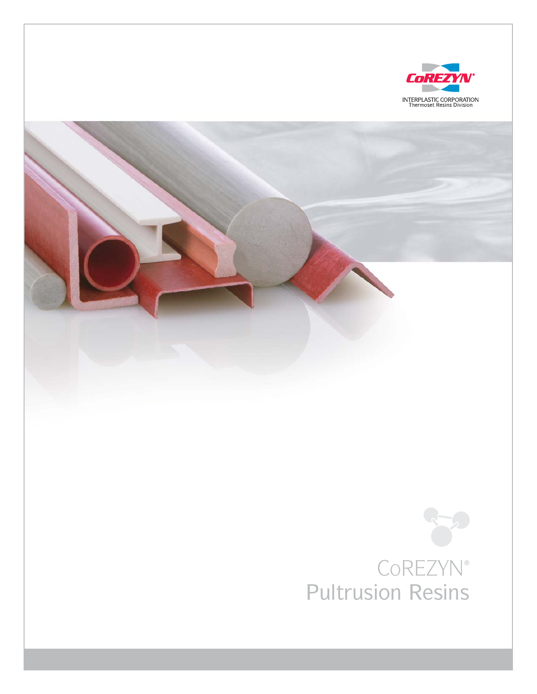

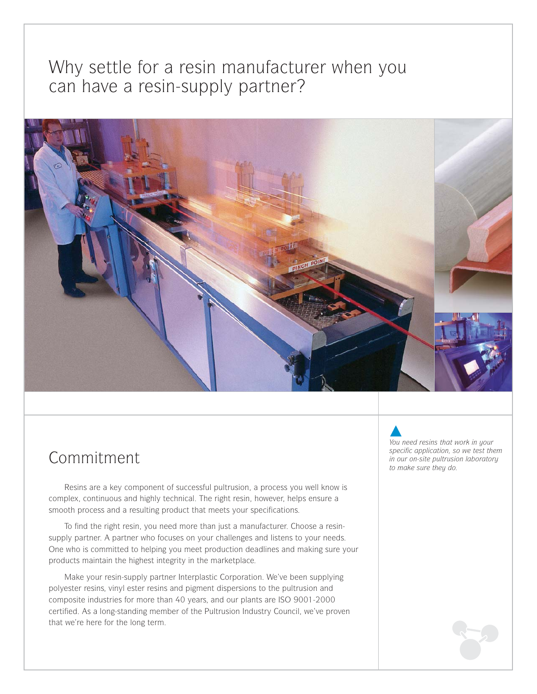## Why settle for a resin manufacturer when you can have a resin-supply partner?



## Commitment

Resins are a key component of successful pultrusion, a process you well know is complex, continuous and highly technical. The right resin, however, helps ensure a smooth process and a resulting product that meets your specifications.

To find the right resin, you need more than just a manufacturer. Choose a resinsupply partner. A partner who focuses on your challenges and listens to your needs. One who is committed to helping you meet production deadlines and making sure your products maintain the highest integrity in the marketplace.

Make your resin-supply partner Interplastic Corporation. We've been supplying polyester resins, vinyl ester resins and pigment dispersions to the pultrusion and composite industries for more than 40 years, and our plants are ISO 9001-2000 certified. As a long-standing member of the Pultrusion Industry Council, we've proven that we're here for the long term.

*You need resins that work in your specific application, so we test them in our on-site pultrusion laboratory to make sure they do.*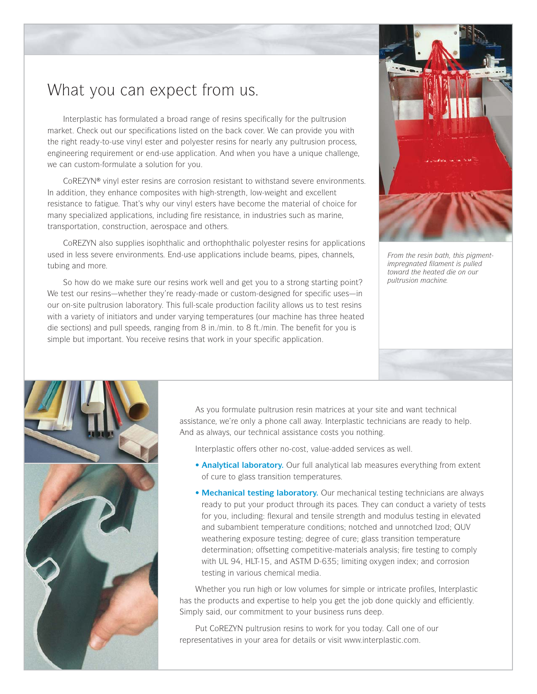## What you can expect from us.

Interplastic has formulated a broad range of resins specifically for the pultrusion market. Check out our specifications listed on the back cover. We can provide you with the right ready-to-use vinyl ester and polyester resins for nearly any pultrusion process, engineering requirement or end-use application. And when you have a unique challenge, we can custom-formulate a solution for you.

CoREZYN® vinyl ester resins are corrosion resistant to withstand severe environments. In addition, they enhance composites with high-strength, low-weight and excellent resistance to fatigue. That's why our vinyl esters have become the material of choice for many specialized applications, including fire resistance, in industries such as marine, transportation, construction, aerospace and others.

CoREZYN also supplies isophthalic and orthophthalic polyester resins for applications used in less severe environments. End-use applications include beams, pipes, channels, tubing and more.

So how do we make sure our resins work well and get you to a strong starting point? We test our resins—whether they're ready-made or custom-designed for specific uses—in our on-site pultrusion laboratory. This full-scale production facility allows us to test resins with a variety of initiators and under varying temperatures (our machine has three heated die sections) and pull speeds, ranging from 8 in./min. to 8 ft./min. The benefit for you is simple but important. You receive resins that work in your specific application.



*From the resin bath, this pigmentimpregnated filament is pulled toward the heated die on our pultrusion machine.*



As you formulate pultrusion resin matrices at your site and want technical assistance, we're only a phone call away. Interplastic technicians are ready to help. And as always, our technical assistance costs you nothing.

Interplastic offers other no-cost, value-added services as well.

- **Analytical laboratory.** Our full analytical lab measures everything from extent of cure to glass transition temperatures.
- **Mechanical testing laboratory.** Our mechanical testing technicians are always ready to put your product through its paces. They can conduct a variety of tests for you, including: flexural and tensile strength and modulus testing in elevated and subambient temperature conditions; notched and unnotched Izod; QUV weathering exposure testing; degree of cure; glass transition temperature determination; offsetting competitive-materials analysis; fire testing to comply with UL 94, HLT-15, and ASTM D-635; limiting oxygen index; and corrosion testing in various chemical media.

Whether you run high or low volumes for simple or intricate profiles, Interplastic has the products and expertise to help you get the job done quickly and efficiently. Simply said, our commitment to your business runs deep.

Put CoREZYN pultrusion resins to work for you today. Call one of our representatives in your area for details or visit www.interplastic.com.